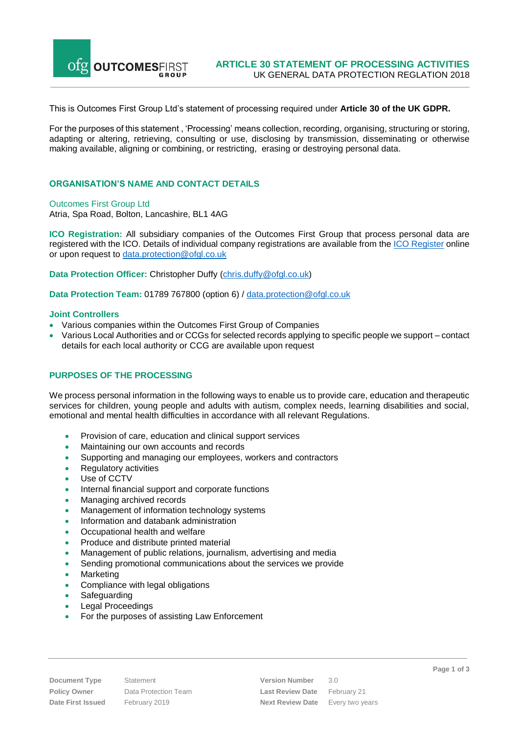

This is Outcomes First Group Ltd's statement of processing required under **Article 30 of the UK GDPR.**

For the purposes of this statement , 'Processing' means collection, recording, organising, structuring or storing, adapting or altering, retrieving, consulting or use, disclosing by transmission, disseminating or otherwise making available, aligning or combining, or restricting, erasing or destroying personal data.

### **ORGANISATION'S NAME AND CONTACT DETAILS**

Outcomes First Group Ltd

Atria, Spa Road, Bolton, Lancashire, BL1 4AG

**ICO Registration:** All subsidiary companies of the Outcomes First Group that process personal data are registered with the ICO. Details of individual company registrations are available from the ICO [Register](https://ico.org.uk/ESDWebPages/Search) online or upon request to [data.protection@ofgl.co.uk](mailto:data.protection@ofgl.co.uk)

**Data Protection Officer:** Christopher Duffy [\(chris.duffy@ofgl.co.uk\)](mailto:chris.duffy@ofgl.co.uk)

**Data Protection Team:** 01789 767800 (option 6) / [data.protection@ofgl.co.uk](mailto:data.protection@ofgl.co.uk)

#### **Joint Controllers**

- Various companies within the Outcomes First Group of Companies
- Various Local Authorities and or CCGs for selected records applying to specific people we support –contact details for each local authority or CCG are available upon request

# **PURPOSES OF THE PROCESSING**

We process personal information in the following ways to enable us to provide care, education and therapeutic services for children, young people and adults with autism, complex needs, learning disabilities and social, emotional and mental health difficulties in accordance with all relevant Regulations.

- Provision of care, education and clinical support services
- Maintaining our own accounts and records
- Supporting and managing our employees, workers and contractors
- Regulatory activities
- Use of CCTV
- Internal financial support and corporate functions
- Managing archived records
- Management of information technology systems
- Information and databank administration
- Occupational health and welfare
- Produce and distribute printed material
- Management of public relations, journalism, advertising and media
- Sending promotional communications about the services we provide
- Marketing
- Compliance with legal obligations
- Safeguarding
- Legal Proceedings
- For the purposes of assisting Law Enforcement

**Document Type** Statement **Version Number** 3.0 **Policy Owner** Data Protection Team **Last Review Date** February 21 **Date First Issued** February 2019 **Next Review Date** Every two years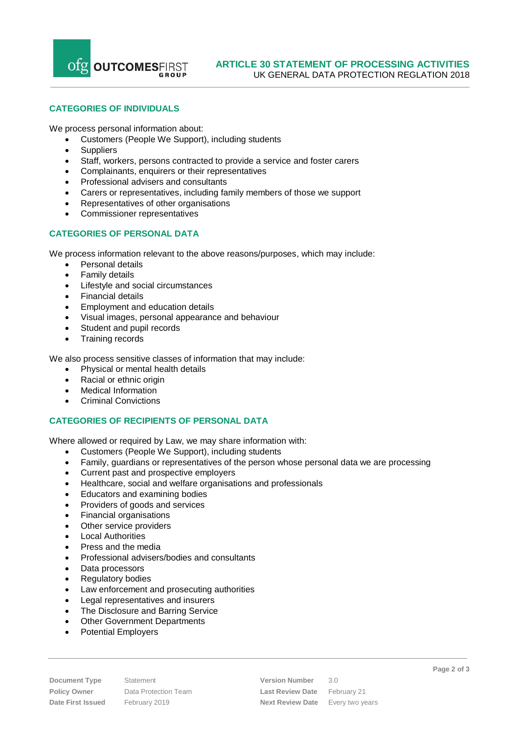Ofg OUTCOMESFIRST

# **CATEGORIES OF INDIVIDUALS**

We process personal information about:

- Customers (People We Support), including students
- Suppliers
- Staff, workers, persons contracted to provide a service and foster carers
- Complainants, enquirers or their representatives
- Professional advisers and consultants
- Carers or representatives, including family members of those we support
- Representatives of other organisations
- Commissioner representatives

# **CATEGORIES OF PERSONAL DATA**

We process information relevant to the above reasons/purposes, which may include:

- Personal details
- Family details
- Lifestyle and social circumstances
- Financial details
- **Employment and education details**
- Visual images, personal appearance and behaviour
- Student and pupil records
- Training records

We also process sensitive classes of information that may include:

- Physical or mental health details
- Racial or ethnic origin
- Medical Information
- Criminal Convictions

# **CATEGORIES OF RECIPIENTS OF PERSONAL DATA**

Where allowed or required by Law, we may share information with:

- Customers (People We Support), including students
- Family, guardians or representatives of the person whose personal data we are processing
- Current past and prospective employers
- Healthcare, social and welfare organisations and professionals
- Educators and examining bodies
- Providers of goods and services
- Financial organisations
- Other service providers
- **Local Authorities**
- Press and the media
- Professional advisers/bodies and consultants
- Data processors
- Regulatory bodies
- Law enforcement and prosecuting authorities
- Legal representatives and insurers
- The Disclosure and Barring Service
- Other Government Departments
- Potential Employers

**Document Type** Statement **Version Number** 3.0 **Policy Owner** Data Protection Team **Last Review Date** February 21 **Date First Issued** February 2019 **Next Review Date** Every two years **Page 2 of 3**